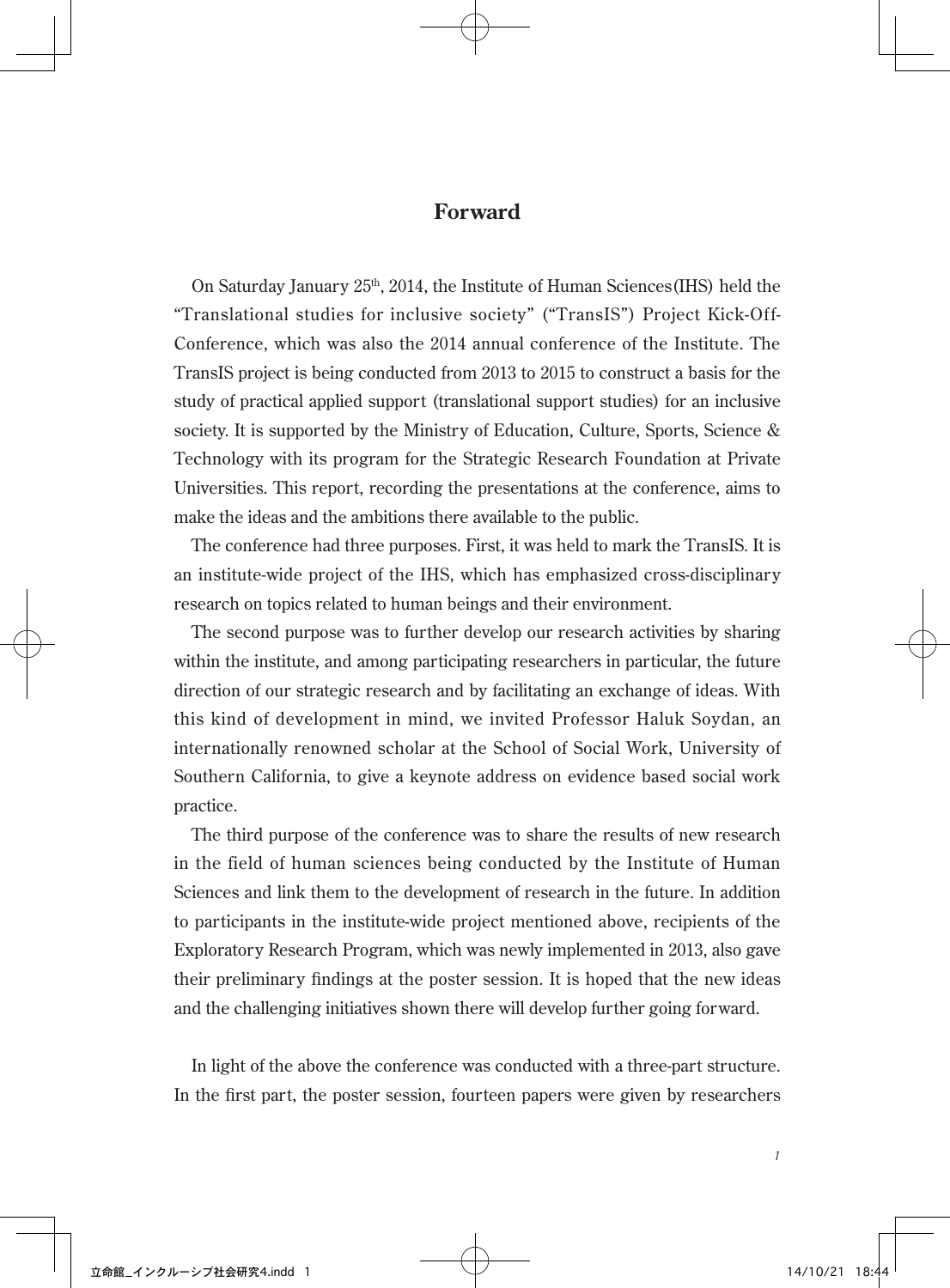## **Forward**

On Saturday January  $25<sup>th</sup>$ , 2014, the Institute of Human Sciences (IHS) held the "Translational studies for inclusive society" ("TransIS") Project Kick-Off-Conference, which was also the 2014 annual conference of the Institute. The TransIS project is being conducted from 2013 to 2015 to construct a basis for the study of practical applied support (translational support studies) for an inclusive society. It is supported by the Ministry of Education, Culture, Sports, Science & Technology with its program for the Strategic Research Foundation at Private Universities. This report, recording the presentations at the conference, aims to make the ideas and the ambitions there available to the public.

The conference had three purposes. First, it was held to mark the TransIS. It is an institute-wide project of the IHS, which has emphasized cross-disciplinary research on topics related to human beings and their environment.

The second purpose was to further develop our research activities by sharing within the institute, and among participating researchers in particular, the future direction of our strategic research and by facilitating an exchange of ideas. With this kind of development in mind, we invited Professor Haluk Soydan, an internationally renowned scholar at the School of Social Work, University of Southern California, to give a keynote address on evidence based social work practice.

The third purpose of the conference was to share the results of new research in the field of human sciences being conducted by the Institute of Human Sciences and link them to the development of research in the future. In addition to participants in the institute-wide project mentioned above, recipients of the Exploratory Research Program, which was newly implemented in 2013, also gave their preliminary findings at the poster session. It is hoped that the new ideas and the challenging initiatives shown there will develop further going forward.

In light of the above the conference was conducted with a three-part structure. In the first part, the poster session, fourteen papers were given by researchers